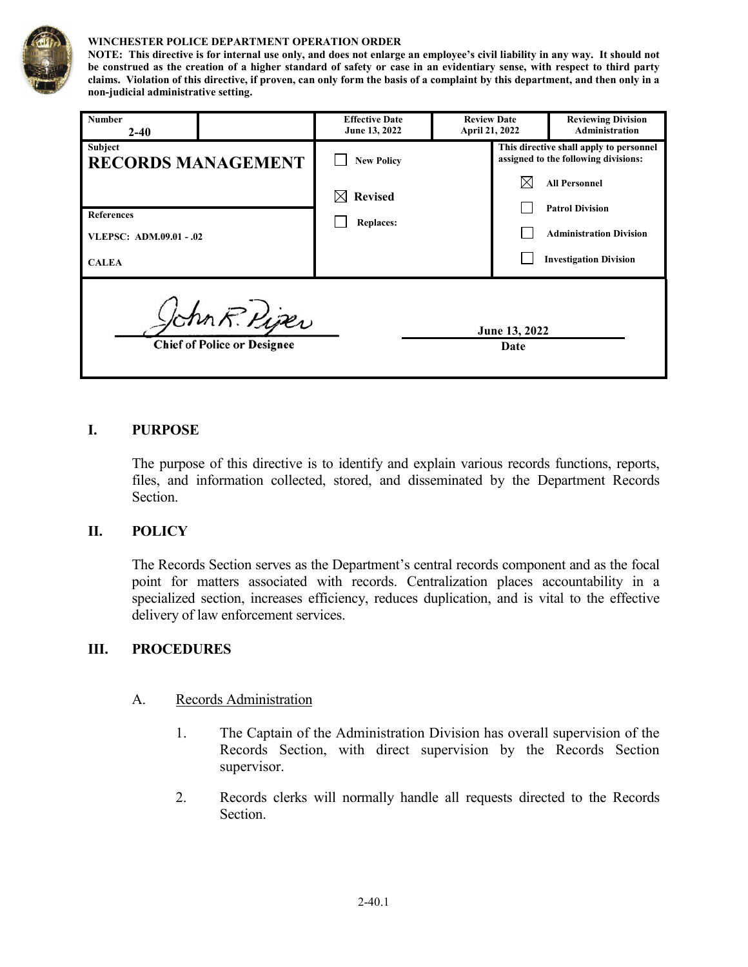

#### **WINCHESTER POLICE DEPARTMENT OPERATION ORDER**

**NOTE: This directive is for internal use only, and does not enlarge an employee's civil liability in any way. It should not be construed as the creation of a higher standard of safety or case in an evidentiary sense, with respect to third party claims. Violation of this directive, if proven, can only form the basis of a complaint by this department, and then only in a non-judicial administrative setting.**

| <b>Number</b><br>$2 - 40$                                                    |                           | <b>Effective Date</b><br>June 13, 2022                                 | <b>Review Date</b><br>April 21, 2022 |  | <b>Reviewing Division</b><br><b>Administration</b>                                                                                                                                                   |
|------------------------------------------------------------------------------|---------------------------|------------------------------------------------------------------------|--------------------------------------|--|------------------------------------------------------------------------------------------------------------------------------------------------------------------------------------------------------|
| Subject<br><b>References</b><br>VLEPSC: ADM.09.01 - .02<br><b>CALEA</b>      | <b>RECORDS MANAGEMENT</b> | <b>New Policy</b><br><b>Revised</b><br>$\boxtimes$<br><b>Replaces:</b> |                                      |  | This directive shall apply to personnel<br>assigned to the following divisions:<br><b>All Personnel</b><br><b>Patrol Division</b><br><b>Administration Division</b><br><b>Investigation Division</b> |
| Ichn R. Piper<br>June 13, 2022<br><b>Chief of Police or Designee</b><br>Date |                           |                                                                        |                                      |  |                                                                                                                                                                                                      |

### **I. PURPOSE**

The purpose of this directive is to identify and explain various records functions, reports, files, and information collected, stored, and disseminated by the Department Records Section.

### **II. POLICY**

The Records Section serves as the Department's central records component and as the focal point for matters associated with records. Centralization places accountability in a specialized section, increases efficiency, reduces duplication, and is vital to the effective delivery of law enforcement services.

### **III. PROCEDURES**

- A. Records Administration
	- 1. The Captain of the Administration Division has overall supervision of the Records Section, with direct supervision by the Records Section supervisor.
	- 2. Records clerks will normally handle all requests directed to the Records Section.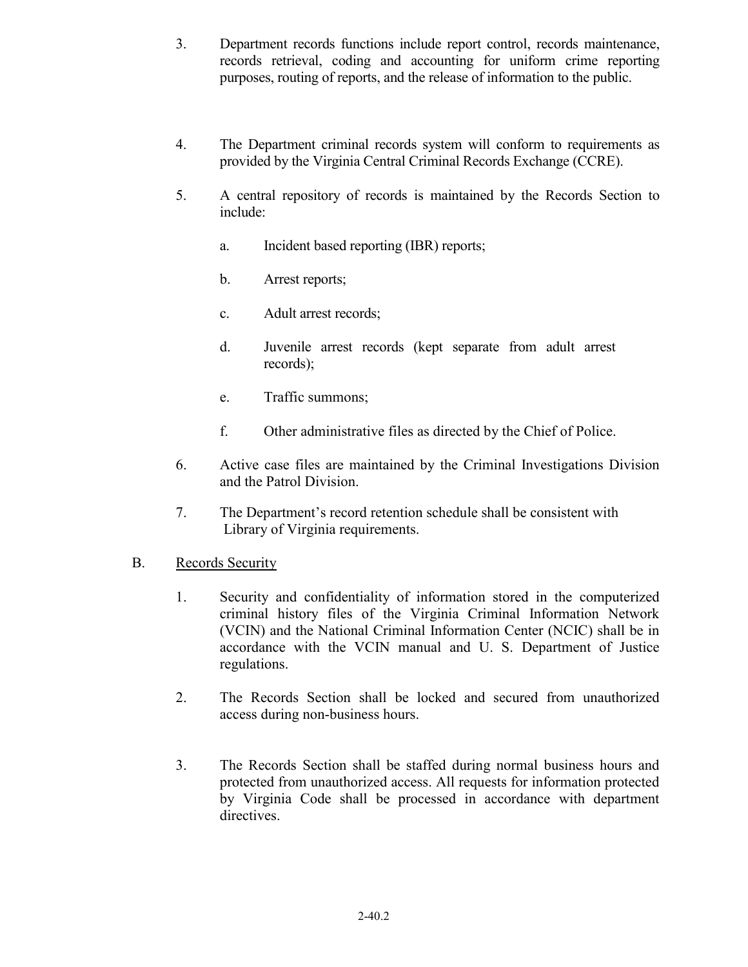- 3. Department records functions include report control, records maintenance, records retrieval, coding and accounting for uniform crime reporting purposes, routing of reports, and the release of information to the public.
- 4. The Department criminal records system will conform to requirements as provided by the Virginia Central Criminal Records Exchange (CCRE).
- 5. A central repository of records is maintained by the Records Section to include:
	- a. Incident based reporting (IBR) reports;
	- b. Arrest reports;
	- c. Adult arrest records;
	- d. Juvenile arrest records (kept separate from adult arrest records);
	- e. Traffic summons;
	- f. Other administrative files as directed by the Chief of Police.
- 6. Active case files are maintained by the Criminal Investigations Division and the Patrol Division.
- 7. The Department's record retention schedule shall be consistent with Library of Virginia requirements.

## B. Records Security

- 1. Security and confidentiality of information stored in the computerized criminal history files of the Virginia Criminal Information Network (VCIN) and the National Criminal Information Center (NCIC) shall be in accordance with the VCIN manual and U. S. Department of Justice regulations.
- 2. The Records Section shall be locked and secured from unauthorized access during non-business hours.
- 3. The Records Section shall be staffed during normal business hours and protected from unauthorized access. All requests for information protected by Virginia Code shall be processed in accordance with department directives.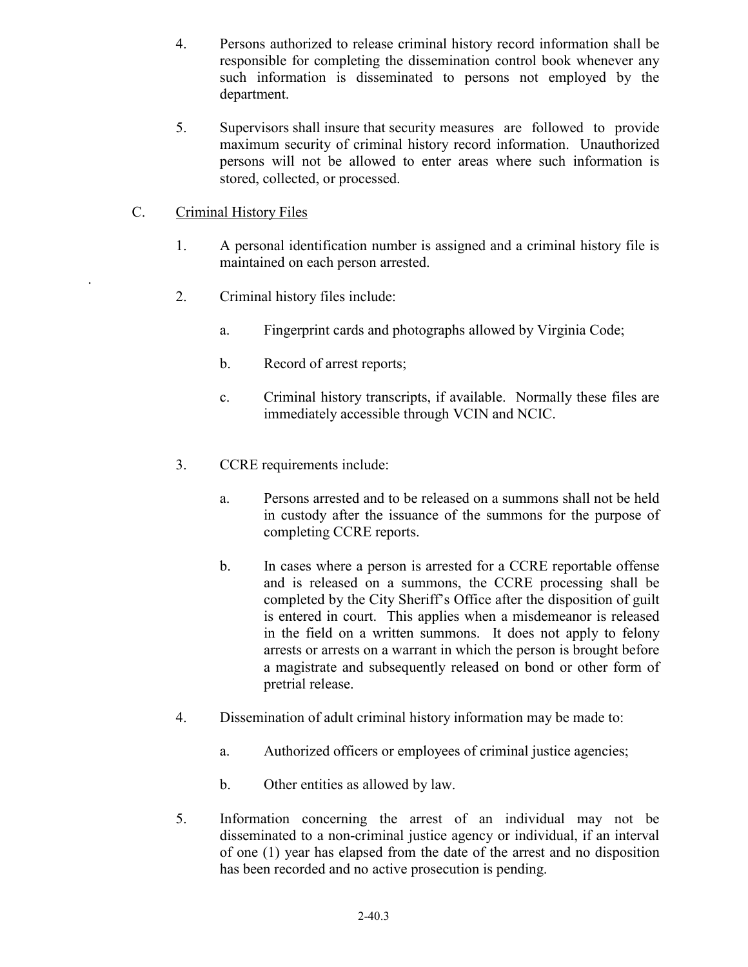- 4. Persons authorized to release criminal history record information shall be responsible for completing the dissemination control book whenever any such information is disseminated to persons not employed by the department.
- 5. Supervisors shall insure that security measures are followed to provide maximum security of criminal history record information. Unauthorized persons will not be allowed to enter areas where such information is stored, collected, or processed.

## C. Criminal History Files

.

- 1. A personal identification number is assigned and a criminal history file is maintained on each person arrested.
- 2. Criminal history files include:
	- a. Fingerprint cards and photographs allowed by Virginia Code;
	- b. Record of arrest reports;
	- c. Criminal history transcripts, if available. Normally these files are immediately accessible through VCIN and NCIC.
- 3. CCRE requirements include:
	- a. Persons arrested and to be released on a summons shall not be held in custody after the issuance of the summons for the purpose of completing CCRE reports.
	- b. In cases where a person is arrested for a CCRE reportable offense and is released on a summons, the CCRE processing shall be completed by the City Sheriff's Office after the disposition of guilt is entered in court. This applies when a misdemeanor is released in the field on a written summons. It does not apply to felony arrests or arrests on a warrant in which the person is brought before a magistrate and subsequently released on bond or other form of pretrial release.
- 4. Dissemination of adult criminal history information may be made to:
	- a. Authorized officers or employees of criminal justice agencies;
	- b. Other entities as allowed by law.
- 5. Information concerning the arrest of an individual may not be disseminated to a non-criminal justice agency or individual, if an interval of one (1) year has elapsed from the date of the arrest and no disposition has been recorded and no active prosecution is pending.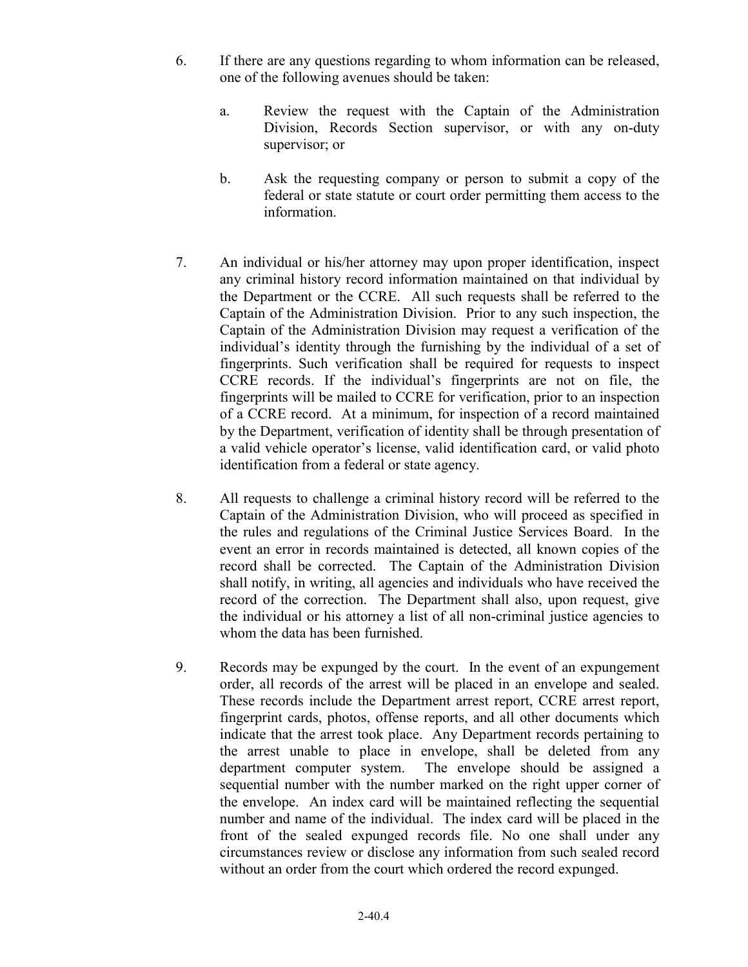- 6. If there are any questions regarding to whom information can be released, one of the following avenues should be taken:
	- a. Review the request with the Captain of the Administration Division, Records Section supervisor, or with any on-duty supervisor; or
	- b. Ask the requesting company or person to submit a copy of the federal or state statute or court order permitting them access to the information.
- 7. An individual or his/her attorney may upon proper identification, inspect any criminal history record information maintained on that individual by the Department or the CCRE. All such requests shall be referred to the Captain of the Administration Division. Prior to any such inspection, the Captain of the Administration Division may request a verification of the individual's identity through the furnishing by the individual of a set of fingerprints. Such verification shall be required for requests to inspect CCRE records. If the individual's fingerprints are not on file, the fingerprints will be mailed to CCRE for verification, prior to an inspection of a CCRE record. At a minimum, for inspection of a record maintained by the Department, verification of identity shall be through presentation of a valid vehicle operator's license, valid identification card, or valid photo identification from a federal or state agency.
- 8. All requests to challenge a criminal history record will be referred to the Captain of the Administration Division, who will proceed as specified in the rules and regulations of the Criminal Justice Services Board. In the event an error in records maintained is detected, all known copies of the record shall be corrected. The Captain of the Administration Division shall notify, in writing, all agencies and individuals who have received the record of the correction. The Department shall also, upon request, give the individual or his attorney a list of all non-criminal justice agencies to whom the data has been furnished.
- 9. Records may be expunged by the court. In the event of an expungement order, all records of the arrest will be placed in an envelope and sealed. These records include the Department arrest report, CCRE arrest report, fingerprint cards, photos, offense reports, and all other documents which indicate that the arrest took place. Any Department records pertaining to the arrest unable to place in envelope, shall be deleted from any department computer system. The envelope should be assigned a sequential number with the number marked on the right upper corner of the envelope. An index card will be maintained reflecting the sequential number and name of the individual. The index card will be placed in the front of the sealed expunged records file. No one shall under any circumstances review or disclose any information from such sealed record without an order from the court which ordered the record expunged.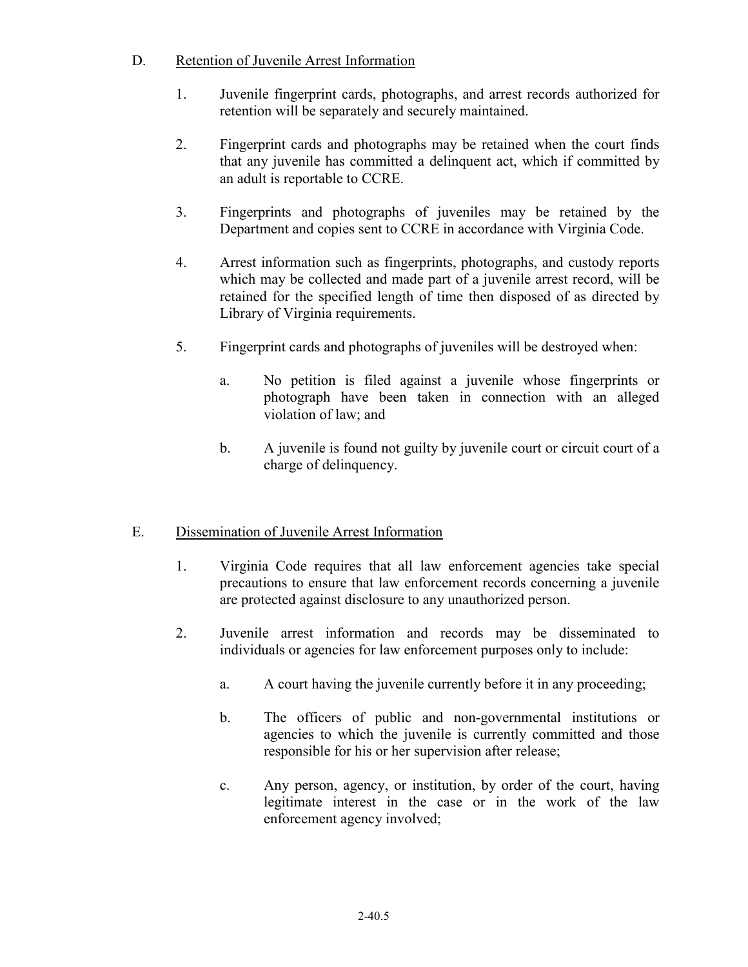## D. Retention of Juvenile Arrest Information

- 1. Juvenile fingerprint cards, photographs, and arrest records authorized for retention will be separately and securely maintained.
- 2. Fingerprint cards and photographs may be retained when the court finds that any juvenile has committed a delinquent act, which if committed by an adult is reportable to CCRE.
- 3. Fingerprints and photographs of juveniles may be retained by the Department and copies sent to CCRE in accordance with Virginia Code.
- 4. Arrest information such as fingerprints, photographs, and custody reports which may be collected and made part of a juvenile arrest record, will be retained for the specified length of time then disposed of as directed by Library of Virginia requirements.
- 5. Fingerprint cards and photographs of juveniles will be destroyed when:
	- a. No petition is filed against a juvenile whose fingerprints or photograph have been taken in connection with an alleged violation of law; and
	- b. A juvenile is found not guilty by juvenile court or circuit court of a charge of delinquency.

# E. Dissemination of Juvenile Arrest Information

- 1. Virginia Code requires that all law enforcement agencies take special precautions to ensure that law enforcement records concerning a juvenile are protected against disclosure to any unauthorized person.
- 2. Juvenile arrest information and records may be disseminated to individuals or agencies for law enforcement purposes only to include:
	- a. A court having the juvenile currently before it in any proceeding;
	- b. The officers of public and non-governmental institutions or agencies to which the juvenile is currently committed and those responsible for his or her supervision after release;
	- c. Any person, agency, or institution, by order of the court, having legitimate interest in the case or in the work of the law enforcement agency involved;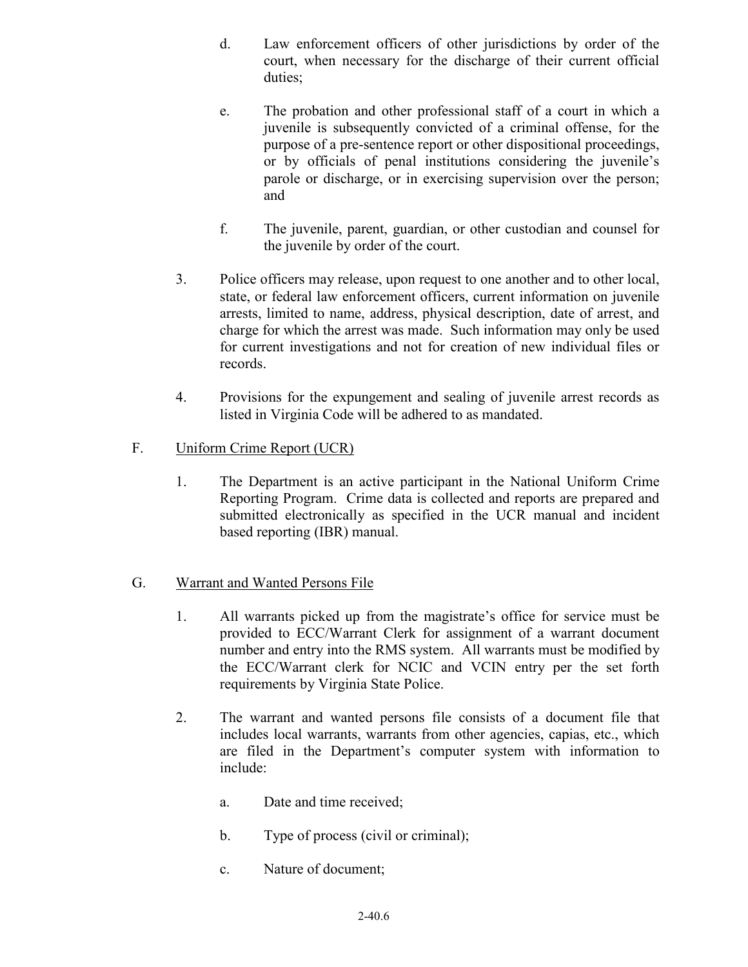- d. Law enforcement officers of other jurisdictions by order of the court, when necessary for the discharge of their current official duties;
- e. The probation and other professional staff of a court in which a juvenile is subsequently convicted of a criminal offense, for the purpose of a pre-sentence report or other dispositional proceedings, or by officials of penal institutions considering the juvenile's parole or discharge, or in exercising supervision over the person; and
- f. The juvenile, parent, guardian, or other custodian and counsel for the juvenile by order of the court.
- 3. Police officers may release, upon request to one another and to other local, state, or federal law enforcement officers, current information on juvenile arrests, limited to name, address, physical description, date of arrest, and charge for which the arrest was made. Such information may only be used for current investigations and not for creation of new individual files or records.
- 4. Provisions for the expungement and sealing of juvenile arrest records as listed in Virginia Code will be adhered to as mandated.

## F. Uniform Crime Report (UCR)

1. The Department is an active participant in the National Uniform Crime Reporting Program. Crime data is collected and reports are prepared and submitted electronically as specified in the UCR manual and incident based reporting (IBR) manual.

## G. Warrant and Wanted Persons File

- 1. All warrants picked up from the magistrate's office for service must be provided to ECC/Warrant Clerk for assignment of a warrant document number and entry into the RMS system. All warrants must be modified by the ECC/Warrant clerk for NCIC and VCIN entry per the set forth requirements by Virginia State Police.
- 2. The warrant and wanted persons file consists of a document file that includes local warrants, warrants from other agencies, capias, etc., which are filed in the Department's computer system with information to include:
	- a. Date and time received;
	- b. Type of process (civil or criminal);
	- c. Nature of document;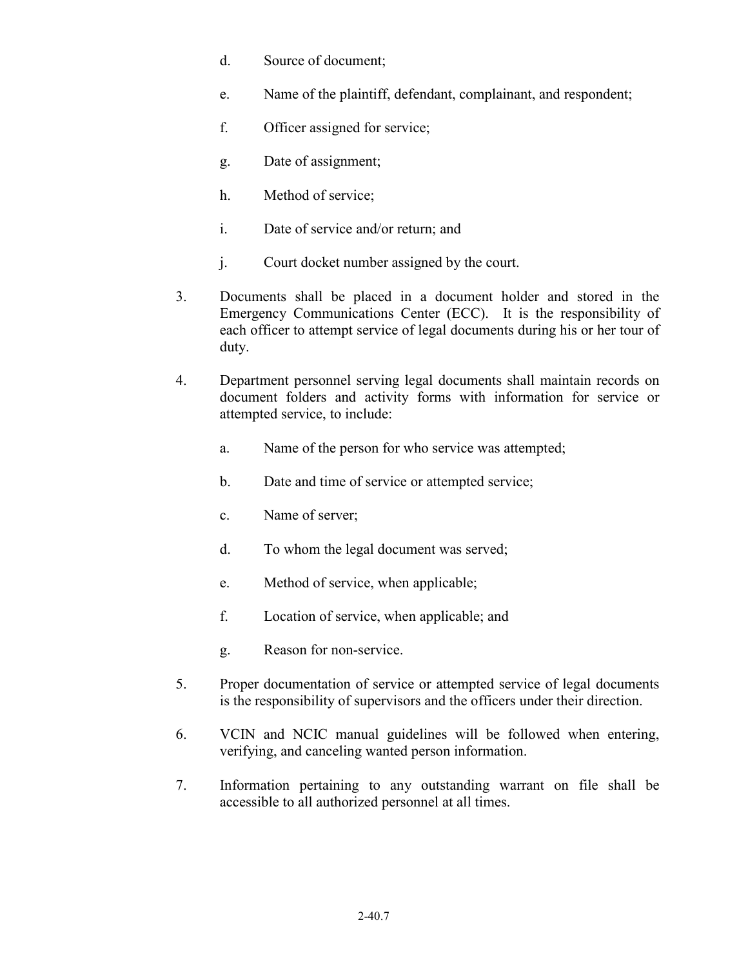- d. Source of document;
- e. Name of the plaintiff, defendant, complainant, and respondent;
- f. Officer assigned for service;
- g. Date of assignment;
- h. Method of service;
- i. Date of service and/or return; and
- j. Court docket number assigned by the court.
- 3. Documents shall be placed in a document holder and stored in the Emergency Communications Center (ECC). It is the responsibility of each officer to attempt service of legal documents during his or her tour of duty.
- 4. Department personnel serving legal documents shall maintain records on document folders and activity forms with information for service or attempted service, to include:
	- a. Name of the person for who service was attempted;
	- b. Date and time of service or attempted service;
	- c. Name of server;
	- d. To whom the legal document was served;
	- e. Method of service, when applicable;
	- f. Location of service, when applicable; and
	- g. Reason for non-service.
- 5. Proper documentation of service or attempted service of legal documents is the responsibility of supervisors and the officers under their direction.
- 6. VCIN and NCIC manual guidelines will be followed when entering, verifying, and canceling wanted person information.
- 7. Information pertaining to any outstanding warrant on file shall be accessible to all authorized personnel at all times.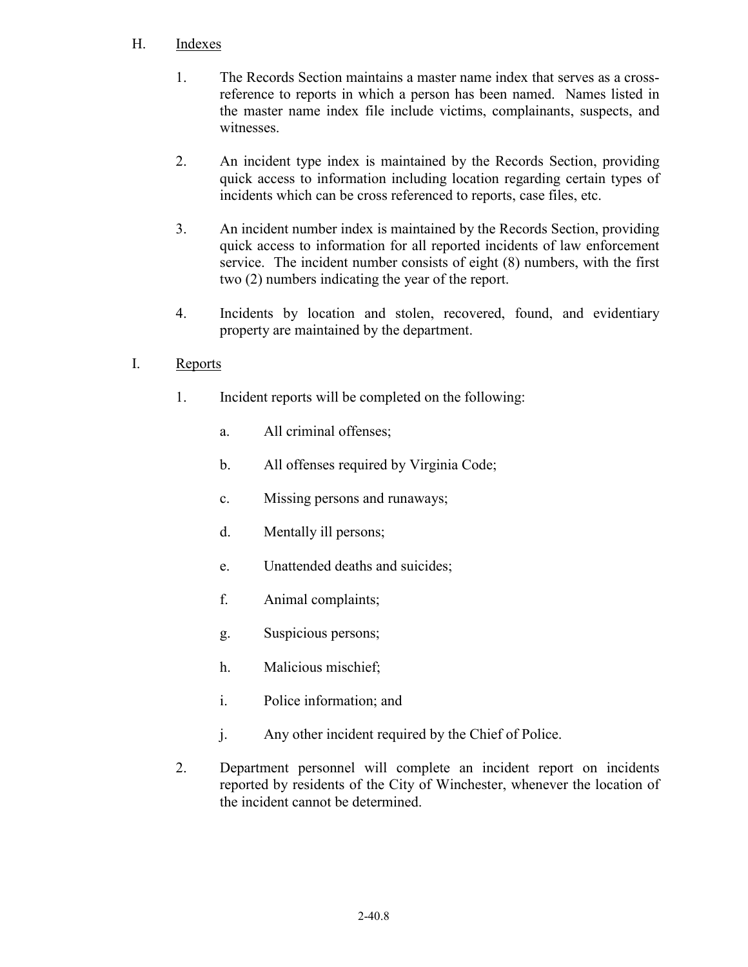### H. Indexes

- 1. The Records Section maintains a master name index that serves as a crossreference to reports in which a person has been named. Names listed in the master name index file include victims, complainants, suspects, and witnesses.
- 2. An incident type index is maintained by the Records Section, providing quick access to information including location regarding certain types of incidents which can be cross referenced to reports, case files, etc.
- 3. An incident number index is maintained by the Records Section, providing quick access to information for all reported incidents of law enforcement service. The incident number consists of eight (8) numbers, with the first two (2) numbers indicating the year of the report.
- 4. Incidents by location and stolen, recovered, found, and evidentiary property are maintained by the department.

## I. Reports

- 1. Incident reports will be completed on the following:
	- a. All criminal offenses;
	- b. All offenses required by Virginia Code;
	- c. Missing persons and runaways;
	- d. Mentally ill persons;
	- e. Unattended deaths and suicides;
	- f. Animal complaints;
	- g. Suspicious persons;
	- h. Malicious mischief;
	- i. Police information; and
	- j. Any other incident required by the Chief of Police.
- 2. Department personnel will complete an incident report on incidents reported by residents of the City of Winchester, whenever the location of the incident cannot be determined.